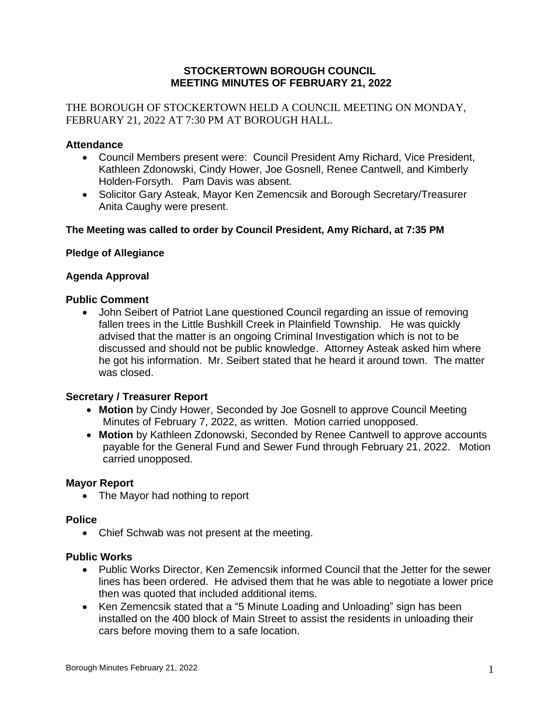### **STOCKERTOWN BOROUGH COUNCIL MEETING MINUTES OF FEBRUARY 21, 2022**

THE BOROUGH OF STOCKERTOWN HELD A COUNCIL MEETING ON MONDAY, FEBRUARY 21, 2022 AT 7:30 PM AT BOROUGH HALL.

### **Attendance**

- Council Members present were: Council President Amy Richard, Vice President, Kathleen Zdonowski, Cindy Hower, Joe Gosnell, Renee Cantwell, and Kimberly Holden-Forsyth. Pam Davis was absent.
- Solicitor Gary Asteak, Mayor Ken Zemencsik and Borough Secretary/Treasurer Anita Caughy were present.

## **The Meeting was called to order by Council President, Amy Richard, at 7:35 PM**

#### **Pledge of Allegiance**

#### **Agenda Approval**

#### **Public Comment**

• John Seibert of Patriot Lane questioned Council regarding an issue of removing fallen trees in the Little Bushkill Creek in Plainfield Township. He was quickly advised that the matter is an ongoing Criminal Investigation which is not to be discussed and should not be public knowledge. Attorney Asteak asked him where he got his information. Mr. Seibert stated that he heard it around town. The matter was closed.

#### **Secretary / Treasurer Report**

- **Motion** by Cindy Hower, Seconded by Joe Gosnell to approve Council Meeting Minutes of February 7, 2022, as written. Motion carried unopposed.
- **Motion** by Kathleen Zdonowski, Seconded by Renee Cantwell to approve accounts payable for the General Fund and Sewer Fund through February 21, 2022. Motion carried unopposed.

#### **Mayor Report**

• The Mayor had nothing to report

#### **Police**

• Chief Schwab was not present at the meeting.

#### **Public Works**

- Public Works Director, Ken Zemencsik informed Council that the Jetter for the sewer lines has been ordered. He advised them that he was able to negotiate a lower price then was quoted that included additional items.
- Ken Zemencsik stated that a "5 Minute Loading and Unloading" sign has been installed on the 400 block of Main Street to assist the residents in unloading their cars before moving them to a safe location.